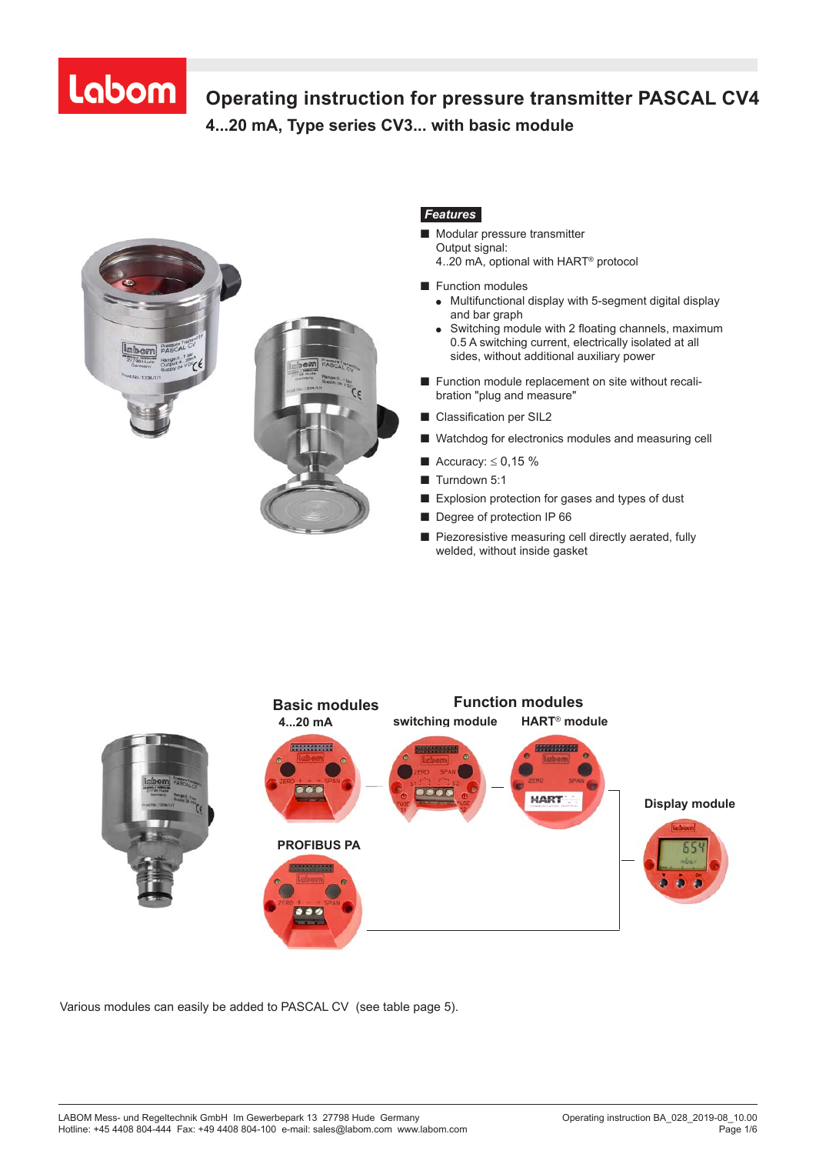# Labom

## **Operating instruction for pressure transmitter PASCAL CV4 4...20 mA, Type series CV3... with basic module Operating Instructions for pressure transmitter**



### *Features*

- Modular pressure transmitter Output signal: 4..20 mA, optional with HART® protocol
- Function modules
	- Multifunctional display with 5-segment digital display and bar graph
	- Switching module with 2 floating channels, maximum 0.5 A switching current, electrically isolated at all sides, without additional auxiliary power
- Function module replacement on site without recalibration "plug and measure"
- Classification per SIL2
- Watchdog for electronics modules and measuring cell
- Accuracy:  $\leq 0.15$  %
- Turndown 5:1
- Explosion protection for gases and types of dust
- Degree of protection IP 66
- Piezoresistive measuring cell directly aerated, fully welded, without inside gasket



Various modules can easily be added to PASCAL CV (see table page 5).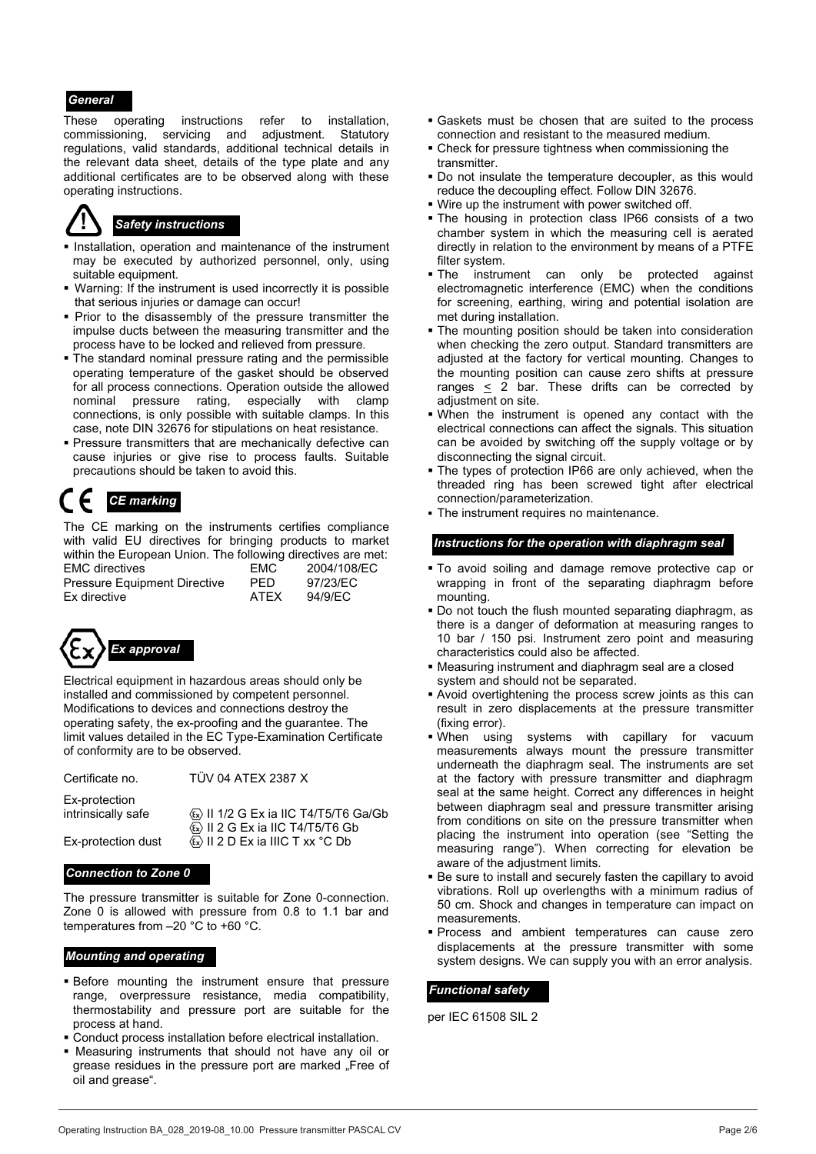#### *General*

These operating instructions refer to installation, commissioning, servicing and adjustment. Statutory regulations, valid standards, additional technical details in the relevant data sheet, details of the type plate and any additional certificates are to be observed along with these operating instructions.



## *Safety instructions*

- **Installation, operation and maintenance of the instrument** may be executed by authorized personnel, only, using suitable equipment.
- Warning: If the instrument is used incorrectly it is possible that serious injuries or damage can occur!
- **Prior to the disassembly of the pressure transmitter the** impulse ducts between the measuring transmitter and the process have to be locked and relieved from pressure.
- **The standard nominal pressure rating and the permissible** operating temperature of the gasket should be observed for all process connections. Operation outside the allowed nominal pressure rating, especially with clamp connections, is only possible with suitable clamps. In this case, note DIN 32676 for stipulations on heat resistance.
- **Pressure transmitters that are mechanically defective can** cause injuries or give rise to process faults. Suitable precautions should be taken to avoid this.

The CE marking on the instruments certifies compliance with valid EU directives for bringing products to market within the European Union. The following directives are met: EMC directives EMC 2004/108/EC Pressure Equipment Directive PED 97/23/EC Ex directive ATEX 94/9/EC



Electrical equipment in hazardous areas should only be installed and commissioned by competent personnel. Modifications to devices and connections destroy the operating safety, the ex-proofing and the guarantee. The limit values detailed in the EC Type-Examination Certificate of conformity are to be observed.

| Certificate no. | ТÜ |
|-----------------|----|
|-----------------|----|

V 04 ATEX 2387 X

Ex-protection intrinsically safe  $\langle \overline{x} \rangle$  II 1/2 G Ex ia IIC T4/T5/T6 Ga/Gb

 II 2 G Ex ia IIC T4/T5/T6 Gb Ex-protection dust  $\langle \mathbb{E} \rangle$  II 2 D Ex ia IIIC T xx °C Db

The pressure transmitter is suitable for Zone 0-connection. Zone 0 is allowed with pressure from 0.8 to 1.1 bar and temperatures from –20 °C to +60 °C.

- Before mounting the instrument ensure that pressure range, overpressure resistance, media compatibility, thermostability and pressure port are suitable for the process at hand.
- Conduct process installation before electrical installation.
- Measuring instruments that should not have any oil or grease residues in the pressure port are marked . Free of oil and grease".
- Gaskets must be chosen that are suited to the process connection and resistant to the measured medium.
- Check for pressure tightness when commissioning the transmitter.
- Do not insulate the temperature decoupler, as this would reduce the decoupling effect. Follow DIN 32676.
- Wire up the instrument with power switched off.
- The housing in protection class IP66 consists of a two chamber system in which the measuring cell is aerated directly in relation to the environment by means of a PTFE filter system.
- The instrument can only be protected against electromagnetic interference (EMC) when the conditions for screening, earthing, wiring and potential isolation are met during installation.
- The mounting position should be taken into consideration when checking the zero output. Standard transmitters are adjusted at the factory for vertical mounting. Changes to the mounting position can cause zero shifts at pressure ranges < 2 bar. These drifts can be corrected by adjustment on site.
- When the instrument is opened any contact with the electrical connections can affect the signals. This situation can be avoided by switching off the supply voltage or by disconnecting the signal circuit.
- The types of protection IP66 are only achieved, when the threaded ring has been screwed tight after electrical **CE marking CE marking connection connection** *connection connection connection connection connection connection connection connection connection connection connection connection* **connection**
	- The instrument requires no maintenance.

#### *Instructions for the operation with diaphragm seal*

- To avoid soiling and damage remove protective cap or wrapping in front of the separating diaphragm before mounting.
- Do not touch the flush mounted separating diaphragm, as there is a danger of deformation at measuring ranges to 10 bar / 150 psi. Instrument zero point and measuring characteristics could also be affected.
- Measuring instrument and diaphragm seal are a closed system and should not be separated.
- Avoid overtightening the process screw joints as this can result in zero displacements at the pressure transmitter (fixing error).
- When using systems with capillary for vacuum measurements always mount the pressure transmitter underneath the diaphragm seal. The instruments are set at the factory with pressure transmitter and diaphragm seal at the same height. Correct any differences in height between diaphragm seal and pressure transmitter arising from conditions on site on the pressure transmitter when placing the instrument into operation (see "Setting the measuring range"). When correcting for elevation be
- **Connection to Zone 0 Connection to Zone 0 Be sure to install and securely fasten the capillary to avoid <b>Connection** to **Zone 0 Be sure to install and securely fasten the capillary to avoid** vibrations. Roll up overlengths with a minimum radius of 50 cm. Shock and changes in temperature can impact on measurements.
- Process and ambient temperatures can cause zero displacements at the pressure transmitter with some<br> **Mounting and operating system designs.** We can supply you with an error analysis.

#### *Functional safety*

per IEC 61508 SIL 2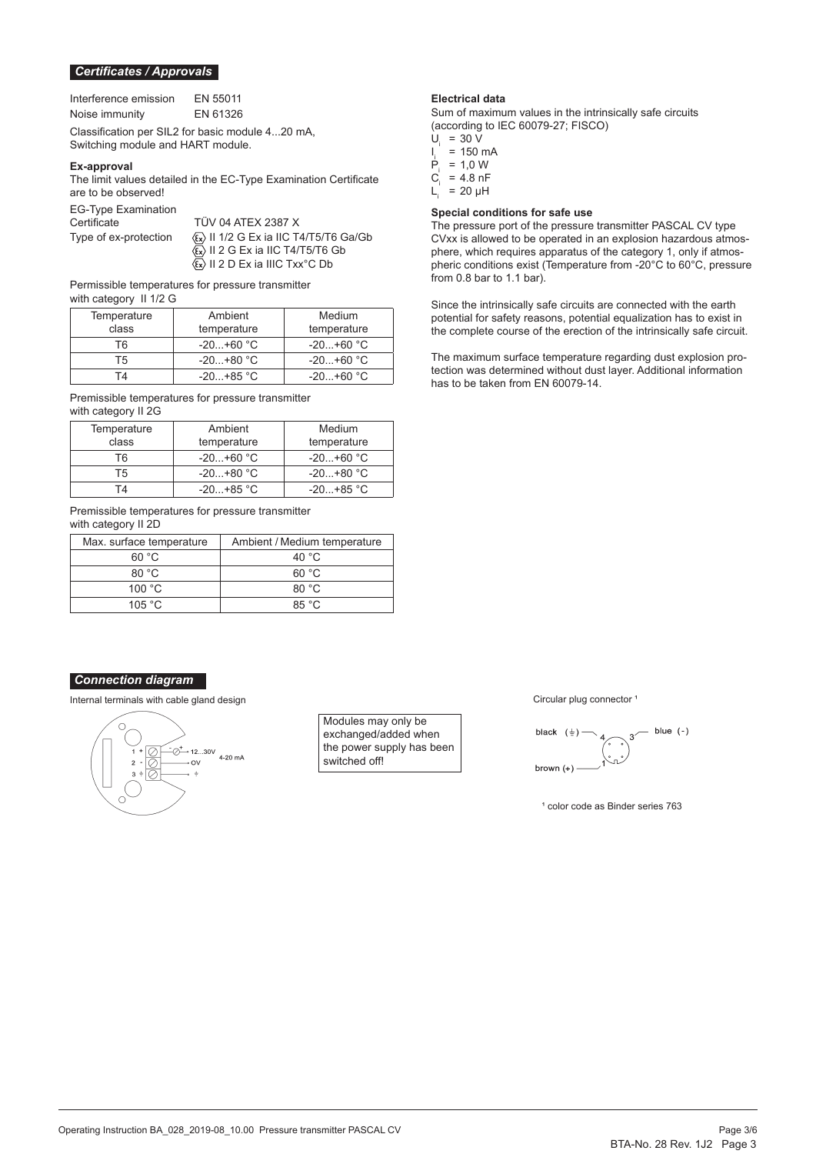#### *Certificates / Approvals*

| Interference emission | EN 55011 |
|-----------------------|----------|
| Noise immunity        | EN 61326 |

Classification per SIL2 for basic module 4...20 mA, Switching module and HART module.

#### **Ex-approval**

The limit values detailed in the EC-Type Examination Certificate are to be observed!

EG-Type Examination

TÜV 04 ATEX 2387 X Type of ex-protection  $\langle x \rangle$  II 1/2 G Ex ia IIC T4/T5/T6 Ga/Gb  $\langle \overline{\mathfrak{s}} \rangle$  II 2 G Ex ia IIC T4/T5/T6 Gb II 2 D Ex ia IIIC Txx°C Db

Permissible temperatures for pressure transmitter with category II 1/2 G

| Temperature    | Ambient     | Medium      |
|----------------|-------------|-------------|
| class          | temperature | temperature |
| T6             | $-20+60 °C$ | $-20+60 °C$ |
| Τ5             | $-20+80 °C$ | $-20+60 °C$ |
| $\overline{A}$ | $-20+85$ °C | $-20+60 °C$ |

Premissible temperatures for pressure transmitter with category II 2G

| Temperature | Ambient     | Medium      |
|-------------|-------------|-------------|
| class       | temperature | temperature |
| Т6          | $-20+60 °C$ | $-20+60 °C$ |
| Т5          | $-20+80 °C$ | $-20+80 °C$ |
| ГΔ          | $-20+85$ °C | $-20+85$ °C |

Premissible temperatures for pressure transmitter with category II 2D

| Max. surface temperature | Ambient / Medium temperature |
|--------------------------|------------------------------|
| 60 °C                    | 40 °C                        |
| 80 °C                    | 60 °C                        |
| 100 $^{\circ}$ C         | 80 °C                        |
| 105 $^{\circ}$ C         | 85 $\degree$ C.              |

#### *Connection diagram*

Internal terminals with cable gland design **Circular plug connector** 1 and 2 and 2 and 2 and 2 and 2 and 2 and 2 and 2 and 2 and 2 and 2 and 2 and 2 and 2 and 2 and 2 and 2 and 2 and 2 and 2 and 2 and 2 and 2 and 2 and 2 a



Modules may only be exchanged/added when the power supply has been switched off!

#### **Electrical data**

Sum of maximum values in the intrinsically safe circuits (according to IEC 60079-27; FISCO)

- $U_i$  = 30 V
- $\frac{1}{P}$  $= 150$  mA
- $P_i = 1,0 \text{ W}$ <br>C. = 4.8 nF
- $C_i$  = 4.8 nF<br>L = 20 µH
- $= 20 \mu H$

#### **Special conditions for safe use**

The pressure port of the pressure transmitter PASCAL CV type CVxx is allowed to be operated in an explosion hazardous atmosphere, which requires apparatus of the category 1, only if atmospheric conditions exist (Temperature from -20°C to 60°C, pressure from 0.8 bar to 1.1 bar).

Since the intrinsically safe circuits are connected with the earth potential for safety reasons, potential equalization has to exist in the complete course of the erection of the intrinsically safe circuit.

The maximum surface temperature regarding dust explosion protection was determined without dust layer. Additional information has to be taken from EN 60079-14.



<sup>1</sup> color code as Binder series 763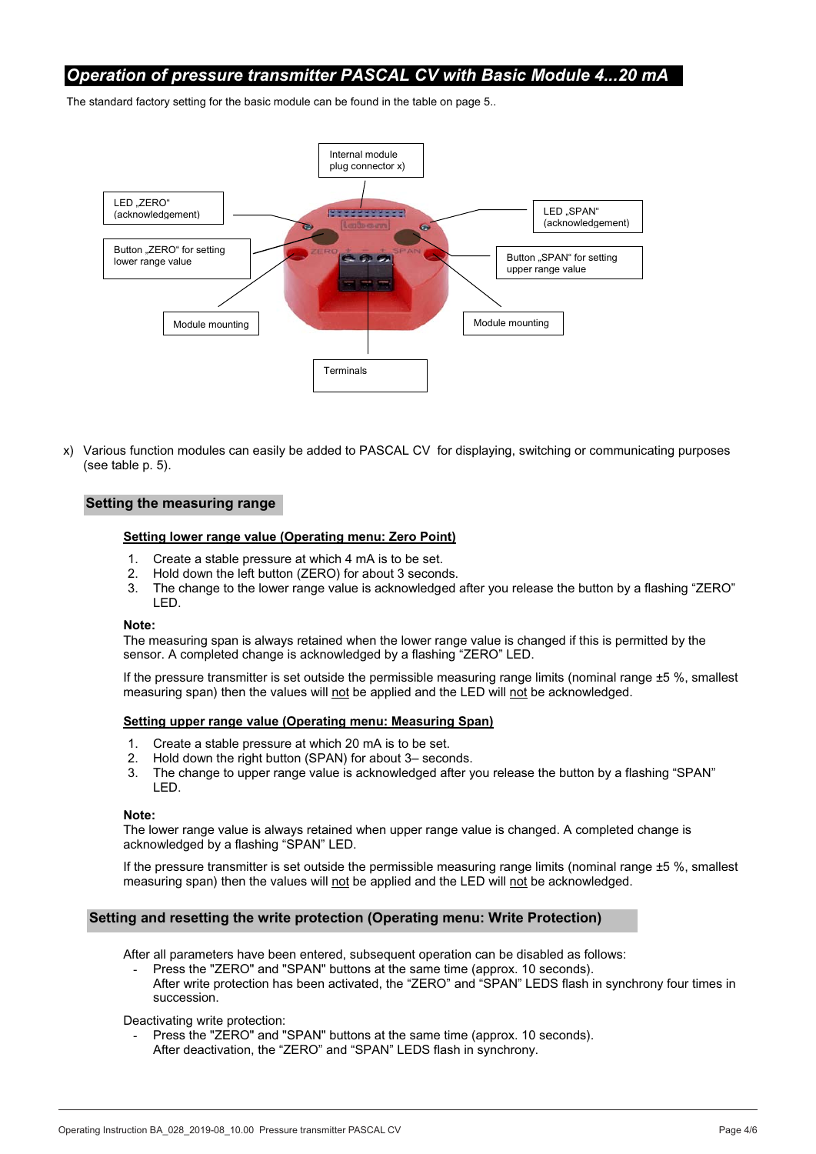## *Operation of pressure transmitter PASCAL CV with Basic Module 4...20 mA*

The standard factory setting for the basic module can be found in the table on page 5..



x) Various function modules can easily be added to PASCAL CV for displaying, switching or communicating purposes (see table p. 5).

#### **Setting the measuring range**

#### **Setting lower range value (Operating menu: Zero Point)**

- 1. Create a stable pressure at which 4 mA is to be set.
- 2. Hold down the left button (ZERO) for about 3 seconds.
- 3. The change to the lower range value is acknowledged after you release the button by a flashing "ZERO" LED.

#### **Note:**

The measuring span is always retained when the lower range value is changed if this is permitted by the sensor. A completed change is acknowledged by a flashing "ZERO" LED.

If the pressure transmitter is set outside the permissible measuring range limits (nominal range ±5 %, smallest measuring span) then the values will not be applied and the LED will not be acknowledged.

#### **Setting upper range value (Operating menu: Measuring Span)**

- 1. Create a stable pressure at which 20 mA is to be set.
- 2. Hold down the right button (SPAN) for about 3– seconds.
- 3. The change to upper range value is acknowledged after you release the button by a flashing "SPAN" LED.

#### **Note:**

The lower range value is always retained when upper range value is changed. A completed change is acknowledged by a flashing "SPAN" LED.

If the pressure transmitter is set outside the permissible measuring range limits (nominal range ±5 %, smallest measuring span) then the values will not be applied and the LED will not be acknowledged.

#### **Setting and resetting the write protection (Operating menu: Write Protection)**

After all parameters have been entered, subsequent operation can be disabled as follows:

- Press the "ZERO" and "SPAN" buttons at the same time (approx. 10 seconds). After write protection has been activated, the "ZERO" and "SPAN" LEDS flash in synchrony four times in succession.

Deactivating write protection:

- Press the "ZERO" and "SPAN" buttons at the same time (approx. 10 seconds).
- After deactivation, the "ZERO" and "SPAN" LEDS flash in synchrony.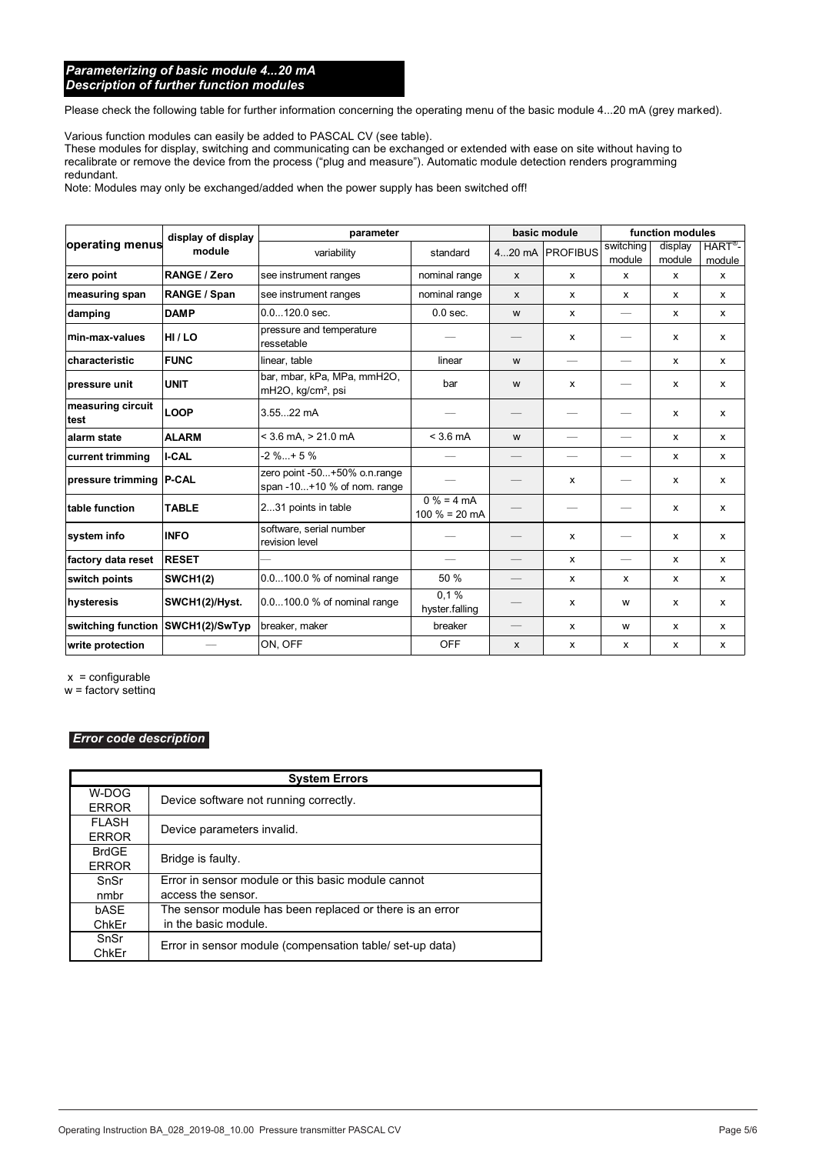#### *Parameterizing of basic module 4...20 mA Description of further function modules*

Please check the following table for further information concerning the operating menu of the basic module 4...20 mA (grey marked).

Various function modules can easily be added to PASCAL CV (see table).

These modules for display, switching and communicating can be exchanged or extended with ease on site without having to recalibrate or remove the device from the process ("plug and measure"). Automatic module detection renders programming redundant.

Note: Modules may only be exchanged/added when the power supply has been switched off!

|                                   | display of display | parameter                                                     |                                 | basic module              |                                | function modules         |                   |                                |
|-----------------------------------|--------------------|---------------------------------------------------------------|---------------------------------|---------------------------|--------------------------------|--------------------------|-------------------|--------------------------------|
| operating menus                   | module             | variability                                                   | standard                        |                           | 420 mA PROFIBUS                | switching<br>module      | display<br>module | $HART^{\circledR}$ -<br>module |
| zero point                        | RANGE / Zero       | see instrument ranges                                         | nominal range                   | $\boldsymbol{\mathsf{x}}$ | $\mathsf{x}$                   | x                        | x                 | x                              |
| measuring span                    | RANGE / Span       | see instrument ranges                                         | nominal range                   | $\mathsf{x}$              | $\mathsf{x}$                   | $\mathsf{x}$             | $\mathsf{x}$      | x                              |
| damping                           | <b>DAMP</b>        | $0.0120.0$ sec.                                               | $0.0$ sec.                      | W                         | $\mathsf{x}$                   | $\overline{\phantom{0}}$ | $\mathsf{x}$      | x                              |
| min-max-values                    | HI/LO              | pressure and temperature<br>ressetable                        |                                 |                           | x                              |                          | x                 | x                              |
| characteristic                    | <b>FUNC</b>        | linear, table                                                 | linear                          | W                         | $\qquad \qquad \longleftarrow$ | $\overline{\phantom{0}}$ | $\mathsf{x}$      | x                              |
| pressure unit                     | <b>UNIT</b>        | bar, mbar, kPa, MPa, mmH2O,<br>mH2O, kg/cm <sup>2</sup> , psi | bar                             | W                         | $\mathsf{x}$                   |                          | X                 | x                              |
| measuring circuit<br>test         | <b>LOOP</b>        | 3.5522 mA                                                     |                                 |                           |                                |                          | $\mathsf{x}$      | $\mathsf{x}$                   |
| alarm state                       | <b>ALARM</b>       | $<$ 3.6 mA, $>$ 21.0 mA                                       | $<$ 3.6 mA                      | W                         | $\overline{\phantom{0}}$       | $\overline{\phantom{0}}$ | $\mathsf{x}$      | $\mathsf{x}$                   |
| current trimming                  | <b>I-CAL</b>       | $-2 \%+5 \%$                                                  |                                 | $\qquad \qquad -$         |                                | $\overline{\phantom{0}}$ | $\mathsf{x}$      | x                              |
| pressure trimming   P-CAL         |                    | zero point -50+50% o.n.range<br>span $-10+10$ % of nom. range |                                 |                           | x                              |                          | $\mathsf{x}$      | X                              |
| table function                    | <b>TABLE</b>       | 231 points in table                                           | $0% = 4 mA$<br>$100 \% = 20 mA$ |                           |                                |                          | $\mathsf{x}$      | X                              |
| system info                       | <b>INFO</b>        | software, serial number<br>revision level                     |                                 |                           | $\mathsf{x}$                   |                          | $\mathsf{x}$      | x                              |
| factory data reset                | <b>RESET</b>       |                                                               | $\hspace{0.05cm}$               |                           | $\mathsf{x}$                   | $\qquad \qquad$          | $\mathsf{x}$      | x                              |
| switch points                     | <b>SWCH1(2)</b>    | 0.0100.0 % of nominal range                                   | 50 %                            |                           | $\mathsf{x}$                   | X                        | $\mathsf{x}$      | x                              |
| hysteresis                        | SWCH1(2)/Hyst.     | 0.0100.0 % of nominal range                                   | 0.1%<br>hyster falling          |                           | x                              | W                        | $\mathsf{x}$      | x                              |
| switching function SWCH1(2)/SwTyp |                    | breaker, maker                                                | breaker                         |                           | $\mathsf{x}$                   | W                        | $\mathsf{x}$      | x                              |
| write protection                  |                    | ON, OFF                                                       | <b>OFF</b>                      | $\mathsf{x}$              | x                              | $\mathsf{x}$             | x                 | x                              |

Modifications reserved BTA-No. 028 P. 6

 $x =$  configurable

w = factory setting

#### *Error code description*

|              | <b>System Errors</b>                                     |  |
|--------------|----------------------------------------------------------|--|
| W-DOG        | Device software not running correctly.                   |  |
| <b>ERROR</b> |                                                          |  |
| <b>FLASH</b> | Device parameters invalid.                               |  |
| <b>ERROR</b> |                                                          |  |
| <b>BrdGE</b> | Bridge is faulty.                                        |  |
| <b>ERROR</b> |                                                          |  |
| SnSr         | Error in sensor module or this basic module cannot       |  |
| nmbr         | access the sensor.                                       |  |
| bASE         | The sensor module has been replaced or there is an error |  |
| ChkEr        | in the basic module.                                     |  |
| SnSr         | Error in sensor module (compensation table/set-up data)  |  |
| ChkEr        |                                                          |  |

**3** Pressure outside nominal measuring range and temperature outside specified range.